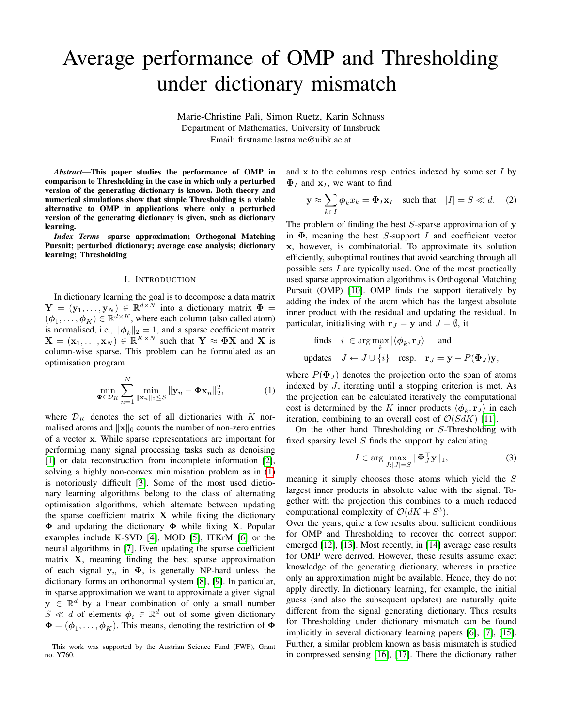# Average performance of OMP and Thresholding under dictionary mismatch

Marie-Christine Pali, Simon Ruetz, Karin Schnass Department of Mathematics, University of Innsbruck Email: firstname.lastname@uibk.ac.at

*Abstract*—This paper studies the performance of OMP in comparison to Thresholding in the case in which only a perturbed version of the generating dictionary is known. Both theory and numerical simulations show that simple Thresholding is a viable alternative to OMP in applications where only a perturbed version of the generating dictionary is given, such as dictionary learning.

*Index Terms*—sparse approximation; Orthogonal Matching Pursuit; perturbed dictionary; average case analysis; dictionary learning; Thresholding

#### I. INTRODUCTION

In dictionary learning the goal is to decompose a data matrix  $\mathbf{Y} = (\mathbf{y}_1, \dots, \mathbf{y}_N) \in \mathbb{R}^{d \times N}$  into a dictionary matrix  $\mathbf{\Phi} =$  $(\phi_1, \ldots, \phi_K) \in \mathbb{R}^{d \times K}$ , where each column (also called atom) is normalised, i.e.,  $\|\phi_k\|_2 = 1$ , and a sparse coefficient matrix  $\mathbf{X} = (\mathbf{x}_1, \dots, \mathbf{x}_N) \in \mathbb{R}^{K \times N}$  such that  $\mathbf{Y} \approx \mathbf{\Phi} \mathbf{X}$  and X is column-wise sparse. This problem can be formulated as an optimisation program

$$
\min_{\mathbf{\Phi} \in \mathcal{D}_K} \sum_{n=1}^N \min_{\|\mathbf{x}_n\|_0 \le S} \|\mathbf{y}_n - \mathbf{\Phi} \mathbf{x}_n\|_2^2, \tag{1}
$$

where  $\mathcal{D}_K$  denotes the set of all dictionaries with K normalised atoms and  $\|\mathbf{x}\|_0$  counts the number of non-zero entries of a vector x. While sparse representations are important for performing many signal processing tasks such as denoising [\[1\]](#page-4-0) or data reconstruction from incomplete information [\[2\]](#page-4-1), solving a highly non-convex minimisation problem as in [\(1\)](#page-0-0) is notoriously difficult [\[3\]](#page-4-2). Some of the most used dictionary learning algorithms belong to the class of alternating optimisation algorithms, which alternate between updating the sparse coefficient matrix  $X$  while fixing the dictionary  $\Phi$  and updating the dictionary  $\Phi$  while fixing X. Popular examples include K-SVD [\[4\]](#page-4-3), MOD [\[5\]](#page-4-4), ITKrM [\[6\]](#page-4-5) or the neural algorithms in [\[7\]](#page-4-6). Even updating the sparse coefficient matrix X, meaning finding the best sparse approximation of each signal  $y_n$  in  $\Phi$ , is generally NP-hard unless the dictionary forms an orthonormal system [\[8\]](#page-4-7), [\[9\]](#page-4-8). In particular, in sparse approximation we want to approximate a given signal  $y \in \mathbb{R}^d$  by a linear combination of only a small number  $S \ll d$  of elements  $\phi_i \in \mathbb{R}^d$  out of some given dictionary  $\mathbf{\Phi} = (\phi_1, \dots, \phi_K)$ . This means, denoting the restriction of  $\mathbf{\Phi}$  and  $x$  to the columns resp. entries indexed by some set  $I$  by  $\Phi_I$  and  $x_I$ , we want to find

$$
\mathbf{y} \approx \sum_{k \in I} \phi_k x_k = \mathbf{\Phi}_I \mathbf{x}_I \quad \text{such that} \quad |I| = S \ll d. \quad (2)
$$

The problem of finding the best  $S$ -sparse approximation of y in  $\Phi$ , meaning the best *S*-support *I* and coefficient vector x, however, is combinatorial. To approximate its solution efficiently, suboptimal routines that avoid searching through all possible sets I are typically used. One of the most practically used sparse approximation algorithms is Orthogonal Matching Pursuit (OMP) [\[10\]](#page-4-9). OMP finds the support iteratively by adding the index of the atom which has the largest absolute inner product with the residual and updating the residual. In particular, initialising with  $\mathbf{r}_J = \mathbf{y}$  and  $J = \emptyset$ , it

finds 
$$
i \in \arg \max_{k} |\langle \phi_k, \mathbf{r}_j \rangle|
$$
 and  
update  $J \leftarrow J \cup \{i\}$  resp.  $\mathbf{r}_J = \mathbf{y} - P(\mathbf{\Phi}_J)\mathbf{y}$ ,

<span id="page-0-0"></span>where  $P(\Phi_J)$  denotes the projection onto the span of atoms indexed by J, iterating until a stopping criterion is met. As the projection can be calculated iteratively the computational cost is determined by the K inner products  $\langle \phi_k, \mathbf{r}_J \rangle$  in each iteration, combining to an overall cost of  $\mathcal{O}(S dK)$  [\[11\]](#page-4-10).

On the other hand Thresholding or S-Thresholding with fixed sparsity level  $S$  finds the support by calculating

$$
I \in \arg\max_{J:|J|=S} \|\mathbf{\Phi}_J^\top \mathbf{y}\|_1,\tag{3}
$$

meaning it simply chooses those atoms which yield the S largest inner products in absolute value with the signal. Together with the projection this combines to a much reduced computational complexity of  $\mathcal{O}(dK + S^3)$ .

Over the years, quite a few results about sufficient conditions for OMP and Thresholding to recover the correct support emerged [\[12\]](#page-4-11), [\[13\]](#page-4-12). Most recently, in [\[14\]](#page-4-13) average case results for OMP were derived. However, these results assume exact knowledge of the generating dictionary, whereas in practice only an approximation might be available. Hence, they do not apply directly. In dictionary learning, for example, the initial guess (and also the subsequent updates) are naturally quite different from the signal generating dictionary. Thus results for Thresholding under dictionary mismatch can be found implicitly in several dictionary learning papers [\[6\]](#page-4-5), [\[7\]](#page-4-6), [\[15\]](#page-4-14). Further, a similar problem known as basis mismatch is studied in compressed sensing [\[16\]](#page-4-15), [\[17\]](#page-4-16). There the dictionary rather

This work was supported by the Austrian Science Fund (FWF), Grant no. Y760.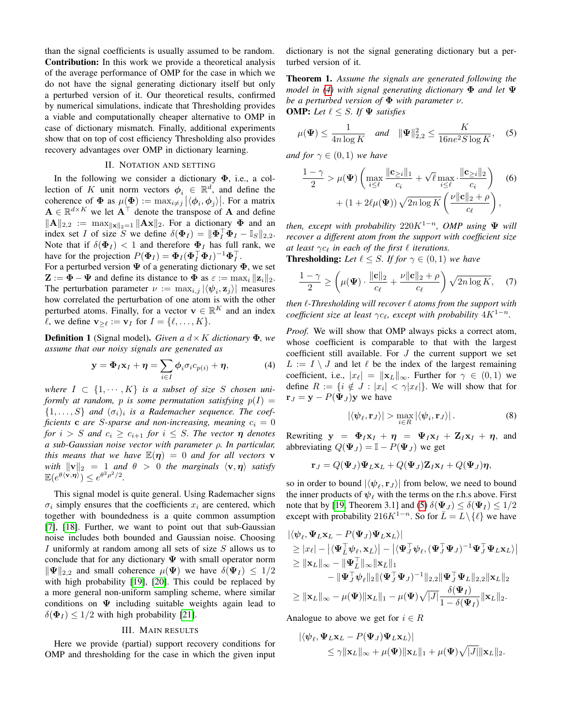than the signal coefficients is usually assumed to be random. Contribution: In this work we provide a theoretical analysis of the average performance of OMP for the case in which we do not have the signal generating dictionary itself but only a perturbed version of it. Our theoretical results, confirmed by numerical simulations, indicate that Thresholding provides a viable and computationally cheaper alternative to OMP in case of dictionary mismatch. Finally, additional experiments show that on top of cost efficiency Thresholding also provides recovery advantages over OMP in dictionary learning.

## II. NOTATION AND SETTING

In the following we consider a dictionary  $\Phi$ , i.e., a collection of K unit norm vectors  $\phi_i \in \mathbb{R}^d$ , and define the coherence of  $\Phi$  as  $\mu(\Phi) := \max_{i \neq j} |\langle \phi_i, \phi_j \rangle|$ . For a matrix  $\mathbf{A} \in \mathbb{R}^{d \times K}$  we let  $\mathbf{A}^{\top}$  denote the transpose of  $\mathbf{A}$  and define  $\|\mathbf{A}\|_{2,2} := \max_{\|\mathbf{x}\|_2=1} \|\mathbf{A}\mathbf{x}\|_2$ . For a dictionary  $\Phi$  and an index set I of size S we define  $\delta(\mathbf{\Phi}_I) = ||\mathbf{\Phi}_I^\top \mathbf{\Phi}_I - \mathbb{I}_S||_{2,2}$ . Note that if  $\delta(\Phi_I) < 1$  and therefore  $\Phi_I$  has full rank, we have for the projection  $P(\Phi_I) = \Phi_I (\Phi_I^{\top} \Phi_I)^{-1} \Phi_I^{\top}$ .

For a perturbed version  $\Psi$  of a generating dictionary  $\Phi$ , we set  $\mathbf{Z} := \mathbf{\Phi} - \mathbf{\Psi}$  and define its distance to  $\mathbf{\Phi}$  as  $\varepsilon := \max_i ||\mathbf{z}_i||_2$ . The perturbation parameter  $\nu := \max_{i,j} |\langle \psi_i, \mathbf{z}_j \rangle|$  measures how correlated the perturbation of one atom is with the other perturbed atoms. Finally, for a vector  $\mathbf{v} \in \mathbb{R}^K$  and an index  $\ell$ , we define  $\mathbf{v}_{\geq \ell} := \mathbf{v}_I$  for  $I = {\ell, \dots, K}.$ 

**Definition 1** (Signal model). *Given a*  $d \times K$  *dictionary*  $\Phi$ *, we assume that our noisy signals are generated as*

$$
\mathbf{y} = \mathbf{\Phi}_I \mathbf{x}_I + \boldsymbol{\eta} = \sum_{i \in I} \phi_i \sigma_i c_{p(i)} + \boldsymbol{\eta}, \tag{4}
$$

*where*  $I \subset \{1, \dots, K\}$  *is a subset of size S chosen uniformly at random, p is some permutation satisfying*  $p(I)$  =  $\{1, \ldots, S\}$  and  $(\sigma_i)_i$  is a Rademacher sequence. The coef*ficients* **c** *are S*-sparse and non-increasing, meaning  $c_i = 0$ *for*  $i > S$  *and*  $c_i \geq c_{i+1}$  *for*  $i \leq S$ *. The vector*  $\eta$  *denotes a sub-Gaussian noise vector with parameter* ρ*. In particular, this means that we have*  $\mathbb{E}(\eta) = 0$  *and for all vectors* **v** *with*  $\|\mathbf{v}\|_2 = 1$  *and*  $\theta > 0$  *the marginals*  $\langle \mathbf{v}, \eta \rangle$  *satisfy*  $\mathbb{E}(e^{\theta\langle \mathbf{v},\boldsymbol{\eta}\rangle})\leq e^{\theta^2\rho^2/2}.$ 

This signal model is quite general. Using Rademacher signs  $\sigma_i$  simply ensures that the coefficients  $x_i$  are centered, which together with boundedness is a quite common assumption [\[7\]](#page-4-6), [\[18\]](#page-4-17). Further, we want to point out that sub-Gaussian noise includes both bounded and Gaussian noise. Choosing I uniformly at random among all sets of size  $S$  allows us to conclude that for any dictionary  $\Psi$  with small operator norm  $\|\Psi\|_{2,2}$  and small coherence  $\mu(\Psi)$  we have  $\delta(\Psi_I) \leq 1/2$ with high probability [\[19\]](#page-4-18), [\[20\]](#page-4-19). This could be replaced by a more general non-uniform sampling scheme, where similar conditions on  $\Psi$  including suitable weights again lead to  $\delta(\Phi_I) \leq 1/2$  with high probability [\[21\]](#page-4-20).

#### III. MAIN RESULTS

Here we provide (partial) support recovery conditions for OMP and thresholding for the case in which the given input dictionary is not the signal generating dictionary but a perturbed version of it.

<span id="page-1-4"></span>Theorem 1. *Assume the signals are generated following the model in [\(4\)](#page-1-0) with signal generating dictionary* Φ *and let* Ψ *be a perturbed version of* Φ *with parameter* ν*.* **OMP:** Let  $\ell \leq S$ . If  $\Psi$  satisfies

$$
\mu(\Psi) \le \frac{1}{4n \log K} \quad \text{and} \quad \|\Psi\|_{2,2}^2 \le \frac{K}{16ne^2 S \log K}, \quad (5)
$$

*and for*  $\gamma \in (0,1)$  *we have* 

<span id="page-1-1"></span>
$$
\frac{1-\gamma}{2} > \mu(\Psi) \left( \max_{i \leq \ell} \frac{\|\mathbf{c}_{\geq i}\|_1}{c_i} + \sqrt{\ell} \max_{i \leq \ell} \frac{\|\mathbf{c}_{\geq i}\|_2}{c_i} \right) \quad (6)
$$

$$
+ (1 + 2\ell\mu(\Psi)) \sqrt{2n \log K} \left( \frac{\nu \|\mathbf{c}\|_2 + \rho}{c_{\ell}} \right),
$$

*then, except with probability*  $220K^{1-n}$ *, OMP using*  $\Psi$  *will recover a different atom from the support with coefficient size at least*  $\gamma c_\ell$  *in each of the first*  $\ell$  *iterations.* 

**Thresholding:** Let  $\ell \leq S$ . If for  $\gamma \in (0,1)$  we have

<span id="page-1-3"></span>
$$
\frac{1-\gamma}{2} \ge \left(\mu(\Psi) \cdot \frac{\|\mathbf{c}\|_2}{c_{\ell}} + \frac{\nu \|\mathbf{c}\|_2 + \rho}{c_{\ell}}\right) \sqrt{2n \log K}, \quad (7)
$$

*then*  $\ell$ -Thresholding will recover  $\ell$  atoms from the support with *coefficient size at least*  $\gamma c_{\ell}$ *, except with probability*  $4K^{1-n}$ *.* 

<span id="page-1-0"></span>*Proof.* We will show that OMP always picks a correct atom, whose coefficient is comparable to that with the largest coefficient still available. For  $J$  the current support we set  $L := I \setminus J$  and let  $\ell$  be the index of the largest remaining coefficient, i.e.,  $|x_{\ell}| = ||\mathbf{x}_L||_{\infty}$ . Further for  $\gamma \in (0, 1)$  we define  $R := \{i \notin J : |x_i| < \gamma |x_\ell|\}$ . We will show that for  $\mathbf{r}_J = \mathbf{y} - P(\mathbf{\Psi}_J)\mathbf{y}$  we have

<span id="page-1-2"></span>
$$
|\langle \psi_{\ell}, \mathbf{r}_{J} \rangle| > \max_{i \in R} |\langle \psi_{i}, \mathbf{r}_{J} \rangle|.
$$
 (8)

Rewriting  $y = \Phi_I x_I + \eta = \Psi_I x_I + Z_I x_I + \eta$ , and abbreviating  $Q(\Psi_J) = \mathbb{I} - P(\Psi_J)$  we get

$$
\mathbf{r}_{J}=Q(\mathbf{\Psi}_{J})\mathbf{\Psi}_{L}\mathbf{x}_{L}+Q(\mathbf{\Psi}_{J})\mathbf{Z}_{I}\mathbf{x}_{I}+Q(\mathbf{\Psi}_{J})\boldsymbol{\eta},
$$

so in order to bound  $|\langle \psi_{\ell}, \mathbf{r}_J \rangle|$  from below, we need to bound the inner products of  $\psi_{\ell}$  with the terms on the r.h.s above. First note that by [\[19,](#page-4-18) Theorem 3.1] and [\(5\)](#page-1-1)  $\delta(\Psi_J) \leq \delta(\Psi_I) \leq 1/2$ except with probability 216K<sup>1−n</sup>. So for  $\overline{L} = L \setminus \{ \ell \}$  we have

$$
\begin{aligned}\n&|\langle \psi_{\ell}, \Psi_{L} \mathbf{x}_{L} - P(\Psi_{J}) \Psi_{L} \mathbf{x}_{L}\rangle| \\
&\geq |x_{\ell}| - |\langle \Psi_{L}^{\top} \psi_{\ell}, \mathbf{x}_{L}\rangle| - |\langle \Psi_{J}^{\top} \psi_{\ell}, (\Psi_{J}^{\top} \Psi_{J})^{-1} \Psi_{J}^{\top} \Psi_{L} \mathbf{x}_{L}\rangle| \\
&\geq ||\mathbf{x}_{L}||_{\infty} - ||\Psi_{L}^{\top}||_{\infty} ||\mathbf{x}_{L}||_{1} \\
&- ||\Psi_{J}^{\top} \psi_{\ell}||_{2} ||(\Psi_{J}^{\top} \Psi_{J})^{-1} ||_{2,2} ||\Psi_{J}^{\top} \Psi_{L}||_{2,2} ||\mathbf{x}_{L}||_{2} \\
&\geq ||\mathbf{x}_{L}||_{\infty} - \mu(\Psi) ||\mathbf{x}_{L}||_{1} - \mu(\Psi) \sqrt{|J|} \frac{\delta(\Psi_{I})}{1 - \delta(\Psi_{I})} ||\mathbf{x}_{L}||_{2}.\n\end{aligned}
$$

Analogue to above we get for  $i \in R$ 

$$
\begin{aligned} |\langle \boldsymbol{\psi}_{\ell}, \boldsymbol{\Psi}_{L} \mathbf{x}_{L} - P(\boldsymbol{\Psi}_{J}) \boldsymbol{\Psi}_{L} \mathbf{x}_{L} \rangle| \\ \leq \gamma \|\mathbf{x}_{L}\|_{\infty} + \mu(\boldsymbol{\Psi}) \|\mathbf{x}_{L}\|_{1} + \mu(\boldsymbol{\Psi}) \sqrt{|J|} \|\mathbf{x}_{L}\|_{2} .\end{aligned}
$$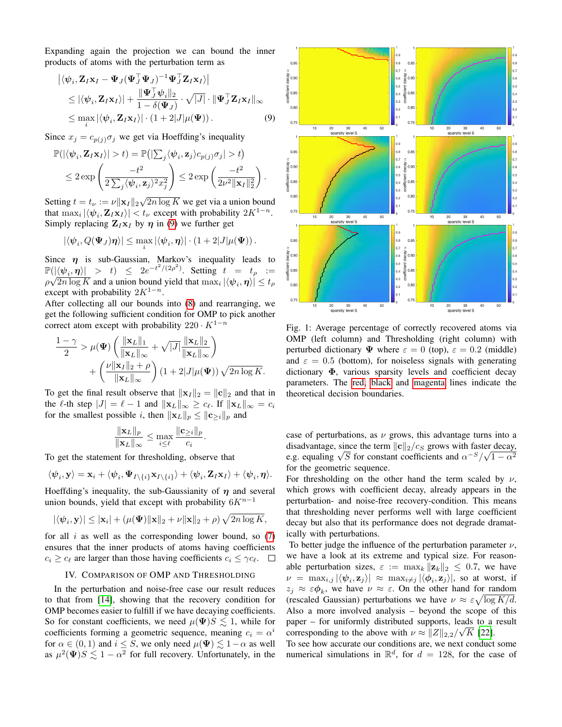Expanding again the projection we can bound the inner products of atoms with the perturbation term as

$$
\begin{aligned} \left| \langle \psi_i, \mathbf{Z}_I \mathbf{x}_I - \Psi_J (\Psi_J^\top \Psi_J)^{-1} \Psi_J^\top \mathbf{Z}_I \mathbf{x}_I \rangle \right| \\ &\leq |\langle \psi_i, \mathbf{Z}_I \mathbf{x}_I \rangle| + \frac{\|\Psi_J^\top \psi_i\|_2}{1 - \delta(\Psi_J)} \cdot \sqrt{|J|} \cdot \|\Psi_J^\top \mathbf{Z}_I \mathbf{x}_I\|_\infty \\ &\leq \max_i |\langle \psi_i, \mathbf{Z}_I \mathbf{x}_I \rangle| \cdot (1 + 2|J|\mu(\Psi)). \end{aligned} \tag{9}
$$

Since  $x_j = c_{p(j)}\sigma_j$  we get via Hoeffding's inequality

$$
\mathbb{P}(|\langle \psi_i, \mathbf{Z}_I \mathbf{x}_I \rangle| > t) = \mathbb{P}(|\sum_j \langle \psi_i, \mathbf{z}_j \rangle c_{p(j)} \sigma_j| > t) \n\leq 2 \exp \left( \frac{-t^2}{2 \sum_j \langle \psi_i, \mathbf{z}_j \rangle^2 x_j^2} \right) \leq 2 \exp \left( \frac{-t^2}{2\nu^2 \|\mathbf{x}_I\|_2^2} \right).
$$

Setting  $t = t_{\nu} := \nu ||\mathbf{x}_I||_2 \sqrt{2n \log K}$  we get via a union bound that  $\max_i |\langle \psi_i, \mathbf{Z}_I \mathbf{x}_I \rangle| < t_\nu$  except with probability  $2K^{1-n}$ . Simply replacing  $\mathbf{Z}_I \mathbf{x}_I$  by  $\eta$  in [\(9\)](#page-2-0) we further get

$$
|\langle \psi_i, Q(\mathbf{\Psi}_J) \pmb{\eta} \rangle| \leq \max_i |\langle \psi_i, \pmb{\eta} \rangle| \cdot \left( 1 + 2|J| \mu(\mathbf{\Psi}) \right).
$$

Since  $\eta$  is sub-Gaussian, Markov's inequality leads to  $\mathbb{P}(|\langle \psi_i, \eta \rangle| > t) \leq 2e^{-t^2/(2\rho^2)}$ . Setting  $t = t_\rho :=$  $\rho\sqrt{2n\log K}$  and a union bound yield that  $\max_i |\langle \boldsymbol{\psi}_i, \boldsymbol{\eta}\rangle| \leq t_\rho$ except with probability  $2K^{1-n}$ .

After collecting all our bounds into [\(8\)](#page-1-2) and rearranging, we get the following sufficient condition for OMP to pick another correct atom except with probability  $220 \cdot K^{1-n}$ 

$$
\frac{1-\gamma}{2} > \mu(\Psi) \left( \frac{\|\mathbf{x}_L\|_1}{\|\mathbf{x}_L\|_{\infty}} + \sqrt{|J|} \frac{\|\mathbf{x}_L\|_2}{\|\mathbf{x}_L\|_{\infty}} \right) + \left( \frac{\nu \|\mathbf{x}_I\|_2 + \rho}{\|\mathbf{x}_L\|_{\infty}} \right) (1 + 2|J|\mu(\Psi)) \sqrt{2n \log K}.
$$

To get the final result observe that  $||\mathbf{x}_I||_2 = ||\mathbf{c}||_2$  and that in the  $\ell$ -th step  $|J| = \ell - 1$  and  $\|\mathbf{x}_L\|_{\infty} \geq c_{\ell}$ . If  $\|\mathbf{x}_L\|_{\infty} = c_i$ for the smallest possible *i*, then  $||\mathbf{x}_L||_p \le ||\mathbf{c}_{\ge i}||_p$  and

$$
\frac{\|\mathbf{x}_L\|_p}{\|\mathbf{x}_L\|_{\infty}} \le \max_{i \le \ell} \frac{\|\mathbf{c}_{\ge i}\|_p}{c_i}.
$$

To get the statement for thresholding, observe that

$$
\langle \boldsymbol{\psi}_i, \mathbf{y} \rangle = \mathbf{x}_i + \langle \boldsymbol{\psi}_i, \boldsymbol{\Psi}_{I \setminus \{i\}} \mathbf{x}_{I \setminus \{i\}} \rangle + \langle \boldsymbol{\psi}_i, \mathbf{Z}_I \mathbf{x}_I \rangle + \langle \boldsymbol{\psi}_i, \boldsymbol{\eta} \rangle.
$$

Hoeffding's inequality, the sub-Gaussianity of  $\eta$  and several union bounds, yield that except with probability  $6K^{n-1}$ 

$$
|\langle \psi_i, \mathbf{y} \rangle| \le |\mathbf{x}_i| + (\mu(\boldsymbol{\Psi}) ||\mathbf{x}||_2 + \nu ||\mathbf{x}||_2 + \rho) \sqrt{2n \log K},
$$

for all  $i$  as well as the corresponding lower bound, so  $(7)$ ensures that the inner products of atoms having coefficients  $c_i \geq c_\ell$  are larger than those having coefficients  $c_i \leq \gamma c_\ell$ .  $\Box$ 

# IV. COMPARISON OF OMP AND THRESHOLDING

<span id="page-2-2"></span>In the perturbation and noise-free case our result reduces to that from [\[14\]](#page-4-13), showing that the recovery condition for OMP becomes easier to fulfill if we have decaying coefficients. So for constant coefficients, we need  $\mu(\Psi)S \leq 1$ , while for coefficients forming a geometric sequence, meaning  $c_i = \alpha^i$ for  $\alpha \in (0, 1)$  and  $i \leq S$ , we only need  $\mu(\Psi) \lesssim 1-\alpha$  as well as  $\mu^2(\Psi)S \lesssim 1 - \alpha^2$  for full recovery. Unfortunately, in the

<span id="page-2-1"></span><span id="page-2-0"></span>

Fig. 1: Average percentage of correctly recovered atoms via OMP (left column) and Thresholding (right column) with perturbed dictionary  $\Psi$  where  $\varepsilon = 0$  (top),  $\varepsilon = 0.2$  (middle) and  $\varepsilon = 0.5$  (bottom), for noiseless signals with generating dictionary Φ, various sparsity levels and coefficient decay parameters. The [red,](#page-3-0) [black](#page-3-1) and [magenta](#page-3-2) lines indicate the theoretical decision boundaries.

case of perturbations, as  $\nu$  grows, this advantage turns into a disadvantage, since the term  $||c||_2/c_S$  grows with faster decay, disadvantage, since the term  $||c||_2/c_s$  grows with raster decay,<br>e.g. equaling  $\sqrt{S}$  for constant coefficients and  $\alpha^{-S}/\sqrt{1-\alpha^2}$ for the geometric sequence.

For thresholding on the other hand the term scaled by  $\nu$ , which grows with coefficient decay, already appears in the perturbation- and noise-free recovery-condition. This means that thresholding never performs well with large coefficient decay but also that its performance does not degrade dramatically with perturbations.

To better judge the influence of the perturbation parameter  $\nu$ , we have a look at its extreme and typical size. For reasonable perturbation sizes,  $\varepsilon := \max_k ||\mathbf{z}_k||_2 \leq 0.7$ , we have  $\nu \; = \; \max_{i,j} |\langle \bm{\psi}_i, \mathbf{z}_j \rangle| \; \approx \; \max_{i \neq j} |\langle \bm{\phi}_i, \mathbf{z}_j \rangle|, \; \text{so at worst, if}$  $z_j \approx \varepsilon \phi_k$ , we have  $\nu \approx \varepsilon$ . On the other hand for random (rescaled Gaussian) perturbations we have  $\nu \approx \varepsilon \sqrt{\log K/d}$ . Also a more involved analysis – beyond the scope of this paper – for uniformly distributed supports, leads to a result corresponding to the above with  $\nu \approx ||Z||_{2,2}/\sqrt{K}$  [\[22\]](#page-4-21).

To see how accurate our conditions are, we next conduct some numerical simulations in  $\mathbb{R}^d$ , for  $d = 128$ , for the case of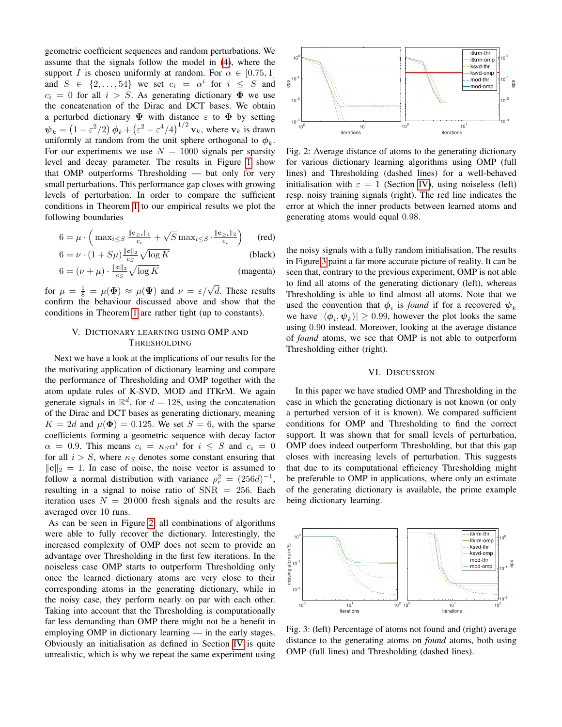geometric coefficient sequences and random perturbations. We assume that the signals follow the model in [\(4\)](#page-1-0), where the support I is chosen uniformly at random. For  $\alpha \in [0.75, 1]$ and  $S \in \{2, \ldots, 54\}$  we set  $c_i = \alpha^i$  for  $i \leq S$  and  $c_i = 0$  for all  $i > S$ . As generating dictionary  $\Phi$  we use the concatenation of the Dirac and DCT bases. We obtain a perturbed dictionary  $\Psi$  with distance  $\varepsilon$  to  $\Phi$  by setting  $\psi_k = (1 - \varepsilon^2/2) \phi_k + (\varepsilon^2 - \varepsilon^4/4)^{1/2} \mathbf{v}_k$ , where  $\mathbf{v}_k$  is drawn uniformly at random from the unit sphere orthogonal to  $\phi_k$ . For our experiments we use  $N = 1000$  signals per sparsity level and decay parameter. The results in Figure [1](#page-2-1) show that OMP outperforms Thresholding — but only for very small perturbations. This performance gap closes with growing levels of perturbation. In order to compare the sufficient conditions in Theorem [1](#page-1-4) to our empirical results we plot the following boundaries

$$
6 = \mu \cdot \left( \max_{i \leq S} \frac{\|\mathbf{c}_{\geq i}\|_1}{c_i} + \sqrt{S} \max_{i \leq S} \cdot \frac{\|\mathbf{c}_{\geq i}\|_2}{c_i} \right) \qquad \text{(red)}
$$

$$
6 = \nu \cdot (1 + S\mu) \frac{\|\mathbf{c}\|_2}{c_S} \sqrt{\log K} \tag{black}
$$

$$
6 = (\nu + \mu) \cdot \frac{\|\mathbf{c}\|_2}{c_S} \sqrt{\log K} \tag{magenta}
$$

for  $\mu = \frac{1}{8} = \mu(\Phi) \approx \mu(\Psi)$  and  $\nu = \varepsilon/\sqrt{d}$ . These results confirm the behaviour discussed above and show that the conditions in Theorem [1](#page-1-4) are rather tight (up to constants).

# V. DICTIONARY LEARNING USING OMP AND THRESHOLDING

Next we have a look at the implications of our results for the the motivating application of dictionary learning and compare the performance of Thresholding and OMP together with the atom update rules of K-SVD, MOD and ITKrM. We again generate signals in  $\mathbb{R}^d$ , for  $d = 128$ , using the concatenation of the Dirac and DCT bases as generating dictionary, meaning  $K = 2d$  and  $\mu(\Phi) = 0.125$ . We set  $S = 6$ , with the sparse coefficients forming a geometric sequence with decay factor  $\alpha = 0.9$ . This means  $c_i = \kappa_S \alpha^i$  for  $i \leq S$  and  $c_i = 0$ for all  $i > S$ , where  $\kappa_S$  denotes some constant ensuring that  $\|\mathbf{c}\|_2 = 1$ . In case of noise, the noise vector is assumed to follow a normal distribution with variance  $\rho_r^2 = (256d)^{-1}$ , resulting in a signal to noise ratio of SNR = 256. Each iteration uses  $N = 20000$  fresh signals and the results are averaged over 10 runs.

As can be seen in Figure [2,](#page-3-3) all combinations of algorithms were able to fully recover the dictionary. Interestingly, the increased complexity of OMP does not seem to provide an advantage over Thresholding in the first few iterations. In the noiseless case OMP starts to outperform Thresholding only once the learned dictionary atoms are very close to their corresponding atoms in the generating dictionary, while in the noisy case, they perform nearly on par with each other. Taking into account that the Thresholding is computationally far less demanding than OMP there might not be a benefit in employing OMP in dictionary learning — in the early stages. Obviously an initialisation as defined in Section [IV](#page-2-2) is quite unrealistic, which is why we repeat the same experiment using

<span id="page-3-3"></span>

Fig. 2: Average distance of atoms to the generating dictionary for various dictionary learning algorithms using OMP (full lines) and Thresholding (dashed lines) for a well-behaved initialisation with  $\varepsilon = 1$  (Section [IV\)](#page-2-2), using noiseless (left) resp. noisy training signals (right). The red line indicates the error at which the inner products between learned atoms and generating atoms would equal 0.98.

<span id="page-3-2"></span><span id="page-3-1"></span><span id="page-3-0"></span>the noisy signals with a fully random initialisation. The results in Figure [3](#page-3-4) paint a far more accurate picture of reality. It can be seen that, contrary to the previous experiment, OMP is not able to find all atoms of the generating dictionary (left), whereas Thresholding is able to find almost all atoms. Note that we used the convention that  $\phi_i$  is *found* if for a recovered  $\psi_k$ we have  $|\langle \phi_i, \psi_k \rangle| \ge 0.99$ , however the plot looks the same using 0.90 instead. Moreover, looking at the average distance of *found* atoms, we see that OMP is not able to outperform Thresholding either (right).

## VI. DISCUSSION

In this paper we have studied OMP and Thresholding in the case in which the generating dictionary is not known (or only a perturbed version of it is known). We compared sufficient conditions for OMP and Thresholding to find the correct support. It was shown that for small levels of perturbation, OMP does indeed outperform Thresholding, but that this gap closes with increasing levels of perturbation. This suggests that due to its computational efficiency Thresholding might be preferable to OMP in applications, where only an estimate of the generating dictionary is available, the prime example being dictionary learning.

<span id="page-3-4"></span>

Fig. 3: (left) Percentage of atoms not found and (right) average distance to the generating atoms on *found* atoms, both using OMP (full lines) and Thresholding (dashed lines).